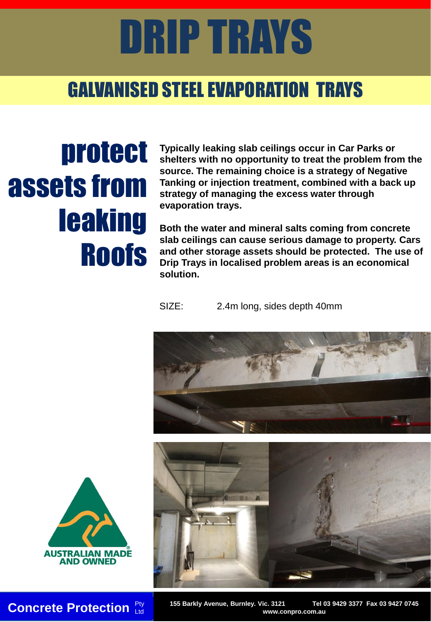## DRIP TRAYS

#### GALVANISED STEEL EVAPORATION TRAYS

## protect assets from leaking Roofs

**Typically leaking slab ceilings occur in Car Parks or shelters with no opportunity to treat the problem from the source. The remaining choice is a strategy of Negative Tanking or injection treatment, combined with a back up strategy of managing the excess water through evaporation trays.** 

**Both the water and mineral salts coming from concrete slab ceilings can cause serious damage to property. Cars and other storage assets should be protected. The use of Drip Trays in localised problem areas is an economical solution.**

SIZE: 2.4m long, sides depth 40mm







**Concrete Protection** Pty 155 Barkly Avenue, Burnley. Vic. 3121 Tel 03 9429 3377 Fax 03 9427 0745